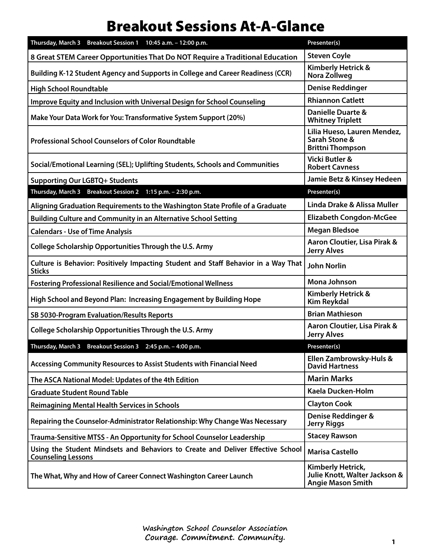## Breakout Sessions At-A-Glance

| Thursday, March 3 Breakout Session 1 10:45 a.m. - 12:00 p.m.                                                 | Presenter(s)                                                                   |
|--------------------------------------------------------------------------------------------------------------|--------------------------------------------------------------------------------|
| 8 Great STEM Career Opportunities That Do NOT Require a Traditional Education                                | <b>Steven Coyle</b>                                                            |
| Building K-12 Student Agency and Supports in College and Career Readiness (CCR)                              | <b>Kimberly Hetrick &amp;</b><br>Nora Zollweg                                  |
| <b>High School Roundtable</b>                                                                                | <b>Denise Reddinger</b>                                                        |
| Improve Equity and Inclusion with Universal Design for School Counseling                                     | <b>Rhiannon Catlett</b>                                                        |
| Make Your Data Work for You: Transformative System Support (20%)                                             | <b>Danielle Duarte &amp;</b><br><b>Whitney Triplett</b>                        |
| <b>Professional School Counselors of Color Roundtable</b>                                                    | Lilia Hueso, Lauren Mendez,<br>Sarah Stone &<br><b>Brittni Thompson</b>        |
| Social/Emotional Learning (SEL); Uplifting Students, Schools and Communities                                 | <b>Vicki Butler &amp;</b><br><b>Robert Cavness</b>                             |
| <b>Supporting Our LGBTQ+ Students</b>                                                                        | Jamie Betz & Kinsey Hedeen                                                     |
| Thursday, March 3 Breakout Session 2 1:15 p.m. - 2:30 p.m.                                                   | Presenter(s)                                                                   |
| Aligning Graduation Requirements to the Washington State Profile of a Graduate                               | Linda Drake & Alissa Muller                                                    |
| <b>Building Culture and Community in an Alternative School Setting</b>                                       | <b>Elizabeth Congdon-McGee</b>                                                 |
| <b>Calendars - Use of Time Analysis</b>                                                                      | <b>Megan Bledsoe</b>                                                           |
| College Scholarship Opportunities Through the U.S. Army                                                      | Aaron Cloutier, Lisa Pirak &<br><b>Jerry Alves</b>                             |
| Culture is Behavior: Positively Impacting Student and Staff Behavior in a Way That<br><b>Sticks</b>          | <b>John Norlin</b>                                                             |
| <b>Fostering Professional Resilience and Social/Emotional Wellness</b>                                       | <b>Mona Johnson</b>                                                            |
| High School and Beyond Plan: Increasing Engagement by Building Hope                                          | Kimberly Hetrick &<br><b>Kim Reykdal</b>                                       |
| SB 5030-Program Evaluation/Results Reports                                                                   | <b>Brian Mathieson</b>                                                         |
| College Scholarship Opportunities Through the U.S. Army                                                      | Aaron Cloutier, Lisa Pirak &<br><b>Jerry Alves</b>                             |
| Thursday, March 3 Breakout Session 3 2:45 p.m. - 4:00 p.m.                                                   | Presenter(s)                                                                   |
| <b>Accessing Community Resources to Assist Students with Financial Need</b>                                  | Ellen Zambrowsky-Huls &<br><b>David Hartness</b>                               |
| The ASCA National Model: Updates of the 4th Edition                                                          | <b>Marin Marks</b>                                                             |
| <b>Graduate Student Round Table</b>                                                                          | Kaela Ducken-Holm                                                              |
| <b>Reimagining Mental Health Services in Schools</b>                                                         | <b>Clayton Cook</b>                                                            |
| Repairing the Counselor-Administrator Relationship: Why Change Was Necessary                                 | Denise Reddinger &<br><b>Jerry Riggs</b>                                       |
| Trauma-Sensitive MTSS - An Opportunity for School Counselor Leadership                                       | <b>Stacey Rawson</b>                                                           |
| Using the Student Mindsets and Behaviors to Create and Deliver Effective School<br><b>Counseling Lessons</b> | <b>Marisa Castello</b>                                                         |
| The What, Why and How of Career Connect Washington Career Launch                                             | Kimberly Hetrick,<br>Julie Knott, Walter Jackson &<br><b>Angie Mason Smith</b> |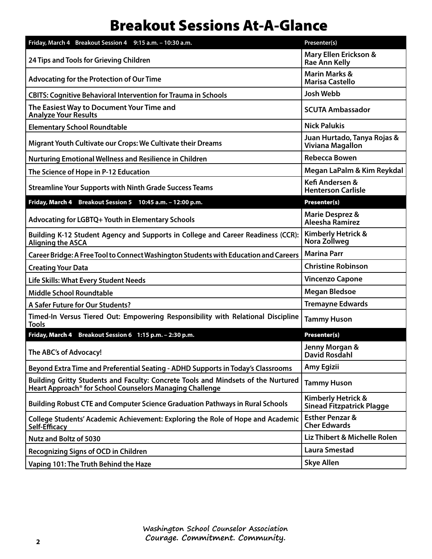## Breakout Sessions At-A-Glance

| Friday, March 4 Breakout Session 4 9:15 a.m. - 10:30 a.m.                                                                                     | Presenter(s)                                           |
|-----------------------------------------------------------------------------------------------------------------------------------------------|--------------------------------------------------------|
| 24 Tips and Tools for Grieving Children                                                                                                       | Mary Ellen Erickson &<br>Rae Ann Kelly                 |
| <b>Advocating for the Protection of Our Time</b>                                                                                              | <b>Marin Marks &amp;</b><br><b>Marisa Castello</b>     |
| <b>CBITS: Cognitive Behavioral Intervention for Trauma in Schools</b>                                                                         | <b>Josh Webb</b>                                       |
| The Easiest Way to Document Your Time and<br><b>Analyze Your Results</b>                                                                      | <b>SCUTA Ambassador</b>                                |
| <b>Elementary School Roundtable</b>                                                                                                           | <b>Nick Palukis</b>                                    |
| Migrant Youth Cultivate our Crops: We Cultivate their Dreams                                                                                  | Juan Hurtado, Tanya Rojas &<br><b>Viviana Magallon</b> |
| <b>Nurturing Emotional Wellness and Resilience in Children</b>                                                                                | <b>Rebecca Bowen</b>                                   |
| The Science of Hope in P-12 Education                                                                                                         | Megan LaPalm & Kim Reykdal                             |
| <b>Streamline Your Supports with Ninth Grade Success Teams</b>                                                                                | Kefi Andersen &<br><b>Henterson Carlisle</b>           |
| Friday, March 4 Breakout Session 5 10:45 a.m. - 12:00 p.m.                                                                                    | <b>Presenter(s)</b>                                    |
| Advocating for LGBTQ+ Youth in Elementary Schools                                                                                             | <b>Marie Desprez &amp;</b><br><b>Aleesha Ramirez</b>   |
| Building K-12 Student Agency and Supports in College and Career Readiness (CCR):<br>Aligning the ASCA                                         | <b>Kimberly Hetrick &amp;</b><br>Nora Zollweg          |
| Career Bridge: A Free Tool to Connect Washington Students with Education and Careers                                                          | <b>Marina Parr</b>                                     |
| <b>Creating Your Data</b>                                                                                                                     | <b>Christine Robinson</b>                              |
| <b>Life Skills: What Every Student Needs</b>                                                                                                  | <b>Vincenzo Capone</b>                                 |
| <b>Middle School Roundtable</b>                                                                                                               | <b>Megan Bledsoe</b>                                   |
| A Safer Future for Our Students?                                                                                                              | <b>Tremayne Edwards</b>                                |
| Timed-In Versus Tiered Out: Empowering Responsibility with Relational Discipline<br><b>Tools</b>                                              | <b>Tammy Huson</b>                                     |
| Friday, March 4 Breakout Session 6 1:15 p.m. - 2:30 p.m.                                                                                      | Presenter(s)                                           |
| The ABC's of Advocacy!                                                                                                                        | Jenny Morgan &<br>David Rosdahl                        |
| Beyond Extra Time and Preferential Seating - ADHD Supports in Today's Classrooms                                                              | Amy Egizii                                             |
| Building Gritty Students and Faculty: Concrete Tools and Mindsets of the Nurtured<br>Heart Approach® for School Counselors Managing Challenge | <b>Tammy Huson</b>                                     |
| Building Robust CTE and Computer Science Graduation Pathways in Rural Schools                                                                 | Kimberly Hetrick &<br>Sinead Fitzpatrick Plagge        |
| College Students' Academic Achievement: Exploring the Role of Hope and Academic<br>Self-Efficacy                                              | <b>Esther Penzar &amp;</b><br><b>Cher Edwards</b>      |
| <b>Nutz and Boltz of 5030</b>                                                                                                                 | Liz Thibert & Michelle Rolen                           |
| <b>Recognizing Signs of OCD in Children</b>                                                                                                   | <b>Laura Smestad</b>                                   |
| Vaping 101: The Truth Behind the Haze                                                                                                         | <b>Skye Allen</b>                                      |